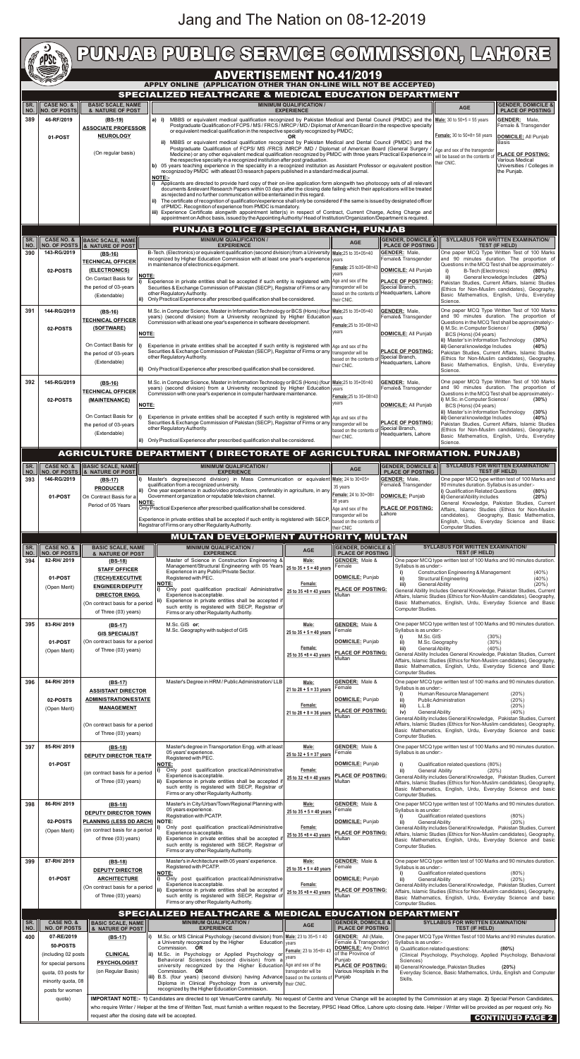## Jang and The Nation on 08-12-2019

|                                                                                                                                                                                      | $\bigstar$<br><b>CONTROLLER</b><br>pPSc                                             |                                                                                                                                                                | PUNJAB PUBLIG SERVIGE GOMMISSION, LAHORE                                                                                                                                                                                                                                                                                                                                                                          |                                                                                   |                                                                                     |                                                                         |                                                                                                                                                                                                                  |                                                                                                                                                    |
|--------------------------------------------------------------------------------------------------------------------------------------------------------------------------------------|-------------------------------------------------------------------------------------|----------------------------------------------------------------------------------------------------------------------------------------------------------------|-------------------------------------------------------------------------------------------------------------------------------------------------------------------------------------------------------------------------------------------------------------------------------------------------------------------------------------------------------------------------------------------------------------------|-----------------------------------------------------------------------------------|-------------------------------------------------------------------------------------|-------------------------------------------------------------------------|------------------------------------------------------------------------------------------------------------------------------------------------------------------------------------------------------------------|----------------------------------------------------------------------------------------------------------------------------------------------------|
| <b>ADVERTISEMENT NO.41/2019</b><br>APPLY ONLINE (APPLICATION OTHER THAN ON-LINE WILL NOT BE ACCEPTED)                                                                                |                                                                                     |                                                                                                                                                                |                                                                                                                                                                                                                                                                                                                                                                                                                   |                                                                                   |                                                                                     |                                                                         |                                                                                                                                                                                                                  |                                                                                                                                                    |
| SPECIALIZED HEALTHCARE & MEDICAL EDUCATION DEPARTMENT<br><b>CASE NO. &amp;</b><br><b>BASIC SCALE, NAME</b><br><b>GENDER, DOMICILE &amp;</b><br><b>MINIMUM QUALIFICATION /</b><br>SR. |                                                                                     |                                                                                                                                                                |                                                                                                                                                                                                                                                                                                                                                                                                                   |                                                                                   |                                                                                     |                                                                         |                                                                                                                                                                                                                  |                                                                                                                                                    |
| NO.<br>389                                                                                                                                                                           | NO. OF POSTS<br>46-RF/2019                                                          | & NATURE OF POST<br>$(BS-19)$                                                                                                                                  | MBBS or equivalent medical qualification recognized by Pakistan Medical and Dental Council (PMDC) and the Male: 30 to 50+5 = 55 years<br>a) i)                                                                                                                                                                                                                                                                    | <b>EXPERIENCE</b>                                                                 |                                                                                     |                                                                         | <b>AGE</b>                                                                                                                                                                                                       | <b>PLACE OF POSTING</b><br>GENDER: Male,                                                                                                           |
|                                                                                                                                                                                      | 01-POST                                                                             | <b>ASSOCIATE PROFESSOR</b><br><b>NEUROLOGY</b>                                                                                                                 | Postgraduate Qualification of FCPS / MS / FRCS / MRCP / MD / Diplomat of American Board in the respective specialty<br>or equivalent medical qualification in the respective specialty recognized by PMDC;                                                                                                                                                                                                        | OR.                                                                               |                                                                                     |                                                                         | Female: 30 to 50+8= 58 years                                                                                                                                                                                     | Female & Transgender<br><b>DOMICILE:</b> All Punjab                                                                                                |
|                                                                                                                                                                                      |                                                                                     |                                                                                                                                                                | ii) MBBS or equivalent medical qualification recognized by Pakistan Medical and Dental Council (PMDC) and the<br>Postgraduate Qualification of FCPS/ MS /FRCS /MRCP /MD / Diplomat of American Board (General Surgery /                                                                                                                                                                                           |                                                                                   |                                                                                     |                                                                         | Age and sex of the transgender                                                                                                                                                                                   | <b>Basis</b>                                                                                                                                       |
|                                                                                                                                                                                      |                                                                                     | (On regular basis)                                                                                                                                             | Medicine) or any other equivalent medical qualification recognized by PMDC with three years Practical Experience in<br>the respective specialty in a recognized institution after post graduation.<br>b) 05 years teaching experience in the speciality in a recognized institution as Assistant Professor or equivalent position                                                                                 |                                                                                   |                                                                                     |                                                                         | will be based on the contents of<br>their CNIC.                                                                                                                                                                  | <b>PLACE OF POSTING:</b><br>Various Medical<br>Universities / Colleges in                                                                          |
|                                                                                                                                                                                      |                                                                                     |                                                                                                                                                                | recognized by PMDC with atleast 03 research papers published in a standard medical journal.<br><b>NOTE:-</b><br>i) Applicants are directed to provide hard copy of their on-line application form alongwith two photocopy sets of all relevant                                                                                                                                                                    |                                                                                   |                                                                                     |                                                                         |                                                                                                                                                                                                                  | the Punjab.                                                                                                                                        |
|                                                                                                                                                                                      |                                                                                     |                                                                                                                                                                | documents & relevant Research Papers within 03 days after the closing date failing which their applications will be treated<br>as rejected and no further communication will be entertained in this regard.                                                                                                                                                                                                       |                                                                                   |                                                                                     |                                                                         |                                                                                                                                                                                                                  |                                                                                                                                                    |
|                                                                                                                                                                                      |                                                                                     |                                                                                                                                                                | ii) The certificate of recognition of qualification/experience shall only be considered if the same is issued by designated officer<br>of PMDC. Recognition of experience from PMDC is mandatory.<br>iii) Experience Certificate alongwith appointment letter(s) in respect of Contract, Current Charge, Acting Charge and                                                                                        |                                                                                   |                                                                                     |                                                                         |                                                                                                                                                                                                                  |                                                                                                                                                    |
|                                                                                                                                                                                      |                                                                                     |                                                                                                                                                                | appointment on Adhoc basis, issued by the Appointing Authority/ Head of Institution/Organization/Department is required.<br><b>PUNJAB POLICE / SPECIAL BRANCH, PUNJAB</b>                                                                                                                                                                                                                                         |                                                                                   |                                                                                     |                                                                         |                                                                                                                                                                                                                  |                                                                                                                                                    |
| SR.<br>NO.                                                                                                                                                                           | <b>CASE NO. &amp;</b><br><b>NO. OF POSTS</b>                                        | <b>BASIC SCALE, NAME</b><br><b>8</b> NATURE OF POST                                                                                                            | <b>MINIMUM QUALIFICATION /</b><br><b>EXPERIENCE</b>                                                                                                                                                                                                                                                                                                                                                               |                                                                                   | <b>AGE</b>                                                                          | <b>GENDER, DOMICILE &amp;</b><br><b>PLACE OF POSTING</b>                |                                                                                                                                                                                                                  | <b>SYLLABUS FOR WRITTEN EXAMINATION/</b><br><b>TEST (IF HELD)</b>                                                                                  |
| 390                                                                                                                                                                                  | 143-RG/2019<br>$(BS-16)$<br><b>TECHNICAL OFFICER</b>                                |                                                                                                                                                                | B-Tech. (Electronics) or equivalent qualification (second division) from a University Male:25 to 35+05=40<br>recognized by Higher Education Commission with at least one year's experience                                                                                                                                                                                                                        |                                                                                   | vears                                                                               | <b>GENDER: Male,</b><br>Female& Transgender                             |                                                                                                                                                                                                                  | One paper MCQ Type Written Test of 100 Marks<br>and 90 minutes duration. The proportion of                                                         |
|                                                                                                                                                                                      | 02-POSTS                                                                            | (ELECTRONICS)<br><b>NOTE:</b><br>On Contact Basis for                                                                                                          | in maintenance of electronics equipment.                                                                                                                                                                                                                                                                                                                                                                          |                                                                                   | Female: 25 to 35+08=43<br>vears                                                     | <b>DOMICILE:</b> All Punjab                                             | B-Tech (Electronics)<br>ii)                                                                                                                                                                                      | Questions in the MCQ Test shall be approximately:-<br>(80%)<br>General knowledge Includes (20%)                                                    |
|                                                                                                                                                                                      |                                                                                     | the period of 03-years                                                                                                                                         | Experience in private entities shall be accepted if such entity is registered with Age and sex of the<br>Securities & Exchange Commission of Pakistan (SECP), Registrar of Firms or any transgender will be<br>other Regulatory Authority.                                                                                                                                                                        |                                                                                   | based on the contents of                                                            | PLACE OF POSTING:<br>Special Branch,<br>Headquarters, Lahore            |                                                                                                                                                                                                                  | Pakistan Studies, Current Affairs, Islamic Studies<br>(Ethics for Non-Muslim candidates), Geography,<br>Basic Mathematics, English, Urdu, Everyday |
|                                                                                                                                                                                      | 144-RG/2019                                                                         | (Extendable)                                                                                                                                                   | ii) Only Practical Experience after prescribed qualification shall be considered.<br>M.Sc. in Computer Science, Master in Information Technology or BCS (Hons) (four Male:25 to 35+05=40                                                                                                                                                                                                                          |                                                                                   | their CNIC.                                                                         | <b>GENDER: Male,</b>                                                    | Science.                                                                                                                                                                                                         | One paper MCQ Type Written Test of 100 Marks                                                                                                       |
| 391                                                                                                                                                                                  |                                                                                     | $(BS-16)$<br><b>TECHNICAL OFFICER</b>                                                                                                                          | years) (second division) from a University recognized by Higher Education vears<br>Commission with at least one year's experience in software development.<br><b>NOTE:</b><br>Experience in private entities shall be accepted if such entity is registered with Age and sex of the<br>li)<br>Securities & Exchange Commission of Pakistan (SECP), Registrar of Firms or any<br>other Regulatory Authority.       |                                                                                   | Female: 25 to 35+08=43                                                              | Female& Transgender                                                     |                                                                                                                                                                                                                  | and 90 minutes duration. The proportion of<br>Questions in the MCQ Test shall be approximately:-                                                   |
|                                                                                                                                                                                      | 02-POSTS                                                                            | (SOFTWARE)                                                                                                                                                     |                                                                                                                                                                                                                                                                                                                                                                                                                   |                                                                                   | vears                                                                               | <b>DOMICILE: All Punjab</b>                                             | i) M.Sc. in Computer Science /<br>BCS (Hons) (04 years)<br>ii) Master's in Information Technology                                                                                                                | (30%)<br>(30%)                                                                                                                                     |
|                                                                                                                                                                                      |                                                                                     | On Contact Basis for<br>the period of 03-years                                                                                                                 |                                                                                                                                                                                                                                                                                                                                                                                                                   |                                                                                   | transgender will be                                                                 | <b>PLACE OF POSTING:</b><br>Special Branch.                             | iii) General knowledge Includes                                                                                                                                                                                  | (40%)<br>Pakistan Studies, Current Affairs, Islamic Studies                                                                                        |
|                                                                                                                                                                                      |                                                                                     | (Extendable)                                                                                                                                                   | ii) Only Practical Experience after prescribed qualification shall be considered.                                                                                                                                                                                                                                                                                                                                 |                                                                                   | based on the contents o<br>their CNIC.                                              | Headquarters, Lahore                                                    | Science.                                                                                                                                                                                                         | (Ethics for Non-Muslim candidates), Geography,<br>Basic Mathematics, English, Urdu, Everyday                                                       |
| 392                                                                                                                                                                                  | 145-RG/2019                                                                         | $(BS-16)$                                                                                                                                                      | M.Sc. in Computer Science, Master in Information Technology or BCS (Hons) (four Male: 25 to 35+05=40<br>years) (second division) from a University recognized by Higher Education vears                                                                                                                                                                                                                           |                                                                                   |                                                                                     | <b>GENDER: Male.</b><br>Female& Transgender                             |                                                                                                                                                                                                                  | One paper MCQ Type Written Test of 100 Marks<br>and 90 minutes duration. The proportion of                                                         |
|                                                                                                                                                                                      | 02-POSTS                                                                            | <b>TECHNICAL OFFICER</b><br>Commission with one year's experience in computer hardware maintenance.<br>(MAINTENANCE)<br><b>NOTE:</b>                           |                                                                                                                                                                                                                                                                                                                                                                                                                   |                                                                                   | Female: 25 to 35+08=43<br>years                                                     | <b>DOMICILE: All Punjab</b>                                             | i) M.Sc. in Computer Science /<br>BCS (Hons) (04 years)                                                                                                                                                          | Questions in the MCQ Test shall be approximately:-<br>$(30\%)$                                                                                     |
|                                                                                                                                                                                      |                                                                                     | On Contact Basis for                                                                                                                                           | Experience in private entities shall be accepted if such entity is registered with $ _{Aqe}$ and sex of the                                                                                                                                                                                                                                                                                                       |                                                                                   |                                                                                     | <b>PLACE OF POSTING:</b>                                                | ii) Master's in Information Technology<br>iii) General knowledge Includes                                                                                                                                        | $(30\%)$<br>(40%)                                                                                                                                  |
|                                                                                                                                                                                      |                                                                                     | the period of 03-years<br>(Extendable)                                                                                                                         | Securities & Exchange Commission of Pakistan (SECP), Registrar of Firms or any<br>other Regulatory Authority.                                                                                                                                                                                                                                                                                                     |                                                                                   | transgender will be<br>based on the contents of<br>their CNIC.                      | Special Branch,<br>Headquarters, Lahore                                 |                                                                                                                                                                                                                  | Pakistan Studies, Current Affairs, Islamic Studies<br>(Ethics for Non-Muslim candidates), Geography,<br>Basic Mathematics, English, Urdu, Everyday |
|                                                                                                                                                                                      |                                                                                     | ii) Only Practical Experience after prescribed qualification shall be considered.<br>AGRICULTURE DEPARTMENT ( DIRECTORATE OF AGRICULTURAL INFORMATION. PUNJAB) |                                                                                                                                                                                                                                                                                                                                                                                                                   |                                                                                   |                                                                                     |                                                                         | Science.                                                                                                                                                                                                         |                                                                                                                                                    |
| SR.                                                                                                                                                                                  | <b>CASE NO. &amp;</b>                                                               | <b>BASIC SCALE, NAME</b>                                                                                                                                       | <b>MINIMUM QUALIFICATION /</b>                                                                                                                                                                                                                                                                                                                                                                                    |                                                                                   | <b>AGE</b>                                                                          | <b>GENDER, DOMICILE &amp;</b>                                           |                                                                                                                                                                                                                  | <b>SYLLABUS FOR WRITTEN EXAMINATION</b>                                                                                                            |
| NO.<br>393                                                                                                                                                                           | <b>NO. OF POSTS</b><br><b>8</b> NATURE OF POST<br>146-RG/2019<br>(BS-17)            |                                                                                                                                                                | <b>EXPERIENCE</b><br>Master's degree(second division) in Mass Communication or equivalent Male: 24 to 30+05=<br>qualification from a recognized university.                                                                                                                                                                                                                                                       |                                                                                   |                                                                                     | <b>PLACE OF POSTING</b><br><b>GENDER:</b> Male,<br>Female& Transgender  | 90 minutes duration. Syllabus is as under:-                                                                                                                                                                      | <b>TEST (IF HELD)</b><br>One paper MCQ type written test of 100 Marks and                                                                          |
|                                                                                                                                                                                      | 01-POST                                                                             | <b>PRODUCER</b><br>On Contract Basis for a<br><b>NOTE:</b>                                                                                                     | Government organization or reputable television channel.                                                                                                                                                                                                                                                                                                                                                          | One year experience in audio/video productions, preferably in agriculture, in any |                                                                                     | 35 years<br>Female: 24 to 30+08=<br><b>DOMICILE: Punjab</b><br>38 years |                                                                                                                                                                                                                  | i) Qualification Related Questions<br>(80%)<br>ii) General Ability includes<br>(20%)<br>General Knowledge, Pakistan Studies, Current               |
|                                                                                                                                                                                      |                                                                                     | Period of 05 Years                                                                                                                                             | Only Practical Experience after prescribed qualification shall be considered.                                                                                                                                                                                                                                                                                                                                     |                                                                                   | <b>PLACE OF POSTING:</b><br>Age and sex of the<br>Lahore<br>transgender will be     |                                                                         |                                                                                                                                                                                                                  | Affairs, Islamic Studies (Ethics for Non-Muslim<br>candidates), Geography, Basic Mathematics,                                                      |
|                                                                                                                                                                                      |                                                                                     |                                                                                                                                                                | Experience in private entities shall be accepted if such entity is registered with SECP,<br>Registrar of Firms or any other Regularity Authority.<br><b>MULTAN DEVELOPMENT AUTHORITY, MULTAN</b>                                                                                                                                                                                                                  |                                                                                   | based on the contents of<br>their CNIC                                              |                                                                         | Computer Studies.                                                                                                                                                                                                | English, Urdu, Everyday Science and Basic                                                                                                          |
| SR.                                                                                                                                                                                  | <b>MINIMUM QUALIFICATION /</b><br><b>CASE NO. &amp;</b><br><b>BASIC SCALE, NAME</b> |                                                                                                                                                                | <b>AGE</b>                                                                                                                                                                                                                                                                                                                                                                                                        | <b>GENDER, DOMICILE &amp;</b>                                                     |                                                                                     | <b>SYLLABUS FOR WRITTEN EXAMINATION/</b>                                |                                                                                                                                                                                                                  |                                                                                                                                                    |
| NO.<br>394                                                                                                                                                                           | <b>NO. OF POSTS</b><br>82-RH/2019                                                   | & NATURE OF POST<br>(BS-18)                                                                                                                                    | <b>EXPERIENCE</b><br>Master of Science in Construction Engineering &<br>Management/Structural Engineering with 05 Years 25 to 35 + 5 = 40 years                                                                                                                                                                                                                                                                   | Male:                                                                             | <b>PLACE OF POSTING</b><br><b>GENDER: Male &amp;</b><br>Female                      | Syllabus is as under:-                                                  | <b>TEST (IF HELD)</b><br>One paper MCQ type written test of 100 Marks and 90 minutes duration.                                                                                                                   |                                                                                                                                                    |
|                                                                                                                                                                                      | 01-POST                                                                             | <b>STAFF OFFICER</b><br>(TECH)/EXECUTIVE                                                                                                                       | Experience in any Public/Private Sector.<br>Registered with PEC.<br><b>NOTE:</b>                                                                                                                                                                                                                                                                                                                                  | Female:                                                                           | <b>DOMICILE: Punjab</b>                                                             | i)<br>ii)<br>iii)                                                       | Construction Engineering & Management<br><b>Structural Engineering</b><br><b>General Ability</b>                                                                                                                 | $(40\%)$<br>(40%)<br>(20%)                                                                                                                         |
|                                                                                                                                                                                      | (Open Merit)                                                                        | <b>ENGINEER/DEPUTY</b><br><b>DIRECTOR ENGG.</b>                                                                                                                | Only post qualification practical/ Administrative 25 to 35 +8 = 43 years<br>Experience is acceptable.<br>Experience in private entities shall be accepted if                                                                                                                                                                                                                                                      |                                                                                   | <b>PLACE OF POSTING:</b><br>Multan                                                  |                                                                         | General Ability Includes General Knowledge, Pakistan Studies, Current<br>Affairs, Islamic Studies (Ethics for Non-Muslim candidates), Geography,                                                                 |                                                                                                                                                    |
|                                                                                                                                                                                      |                                                                                     | (On contract basis for a period<br>of Three (03) years)                                                                                                        | such entity is registered with SECP, Registrar of<br>Firms or any other Regularity Authority.                                                                                                                                                                                                                                                                                                                     |                                                                                   |                                                                                     | Computer Studies.                                                       | Basic Mathematics, English, Urdu, Everyday Science and Basic                                                                                                                                                     |                                                                                                                                                    |
| 395                                                                                                                                                                                  | 83-RH/2019                                                                          | $(BS-17)$<br><b>GIS SPECIALIST</b>                                                                                                                             | M.Sc. GIS or:<br>M.Sc. Geography with subject of GIS                                                                                                                                                                                                                                                                                                                                                              | Male:<br>25 to $35 + 5 = 40$ years                                                | <b>GENDER: Male &amp;</b><br>Female                                                 | Syllabus is as under:-                                                  | One paper MCQ type written test of 100 Marks and 90 minutes duration.                                                                                                                                            |                                                                                                                                                    |
|                                                                                                                                                                                      | 01-POST                                                                             | (On contract basis for a period                                                                                                                                |                                                                                                                                                                                                                                                                                                                                                                                                                   | Female:                                                                           | <b>DOMICILE: Punjab</b>                                                             | M.Sc. GIS<br>i)<br>ii)<br>iii)                                          | $(30\%)$<br>$(30\%)$<br>M.Sc. Geography<br><b>General Ability</b><br>(40%                                                                                                                                        |                                                                                                                                                    |
|                                                                                                                                                                                      | (Open Merit)                                                                        | of Three (03) years)                                                                                                                                           |                                                                                                                                                                                                                                                                                                                                                                                                                   | $25$ to $35 + 8 = 43$ years                                                       | PLACE OF POSTING:<br>Multan                                                         |                                                                         | General Ability Includes General Knowledge, Pakistan Studies, Current<br>Affairs, Islamic Studies (Ethics for Non-Muslim candidates), Geography,                                                                 |                                                                                                                                                    |
|                                                                                                                                                                                      |                                                                                     |                                                                                                                                                                |                                                                                                                                                                                                                                                                                                                                                                                                                   |                                                                                   |                                                                                     | Computer Studies.                                                       | Basic Mathematics, English, Urdu, Everyday Science and Basic                                                                                                                                                     |                                                                                                                                                    |
| 396                                                                                                                                                                                  | 84-RH/2019                                                                          | $(BS-17)$<br><b>ASSISTANT DIRECTOR</b>                                                                                                                         | Master's Degree in HRM / Public Administration/LLB                                                                                                                                                                                                                                                                                                                                                                | Male:<br>$21$ to $28 + 5 = 33$ years                                              | <b>GENDER: Male &amp;</b><br>Female                                                 | Syllabus is as under:-                                                  | One paper MCQ type written test of 100 marks and 90 minutes duration.<br>Human Resource Management                                                                                                               | (20%)                                                                                                                                              |
|                                                                                                                                                                                      | 02-POSTS<br>(Open Merit)                                                            | <b>ADMINISTRATION/ESTATE</b><br><b>MANAGEMENT</b>                                                                                                              |                                                                                                                                                                                                                                                                                                                                                                                                                   | Female:<br>$21 to 28 + 8 = 36 years$                                              | <b>DOMICILE: Punjab</b><br><b>PLACE OF POSTING:</b>                                 | ii)<br>iii)<br>L.L.B<br>iv)                                             | Public Administration<br><b>General Ability</b>                                                                                                                                                                  | (20%)<br>(20%)<br>(40%                                                                                                                             |
|                                                                                                                                                                                      |                                                                                     | (On contract basis for a period                                                                                                                                |                                                                                                                                                                                                                                                                                                                                                                                                                   |                                                                                   | Multan                                                                              |                                                                         | General Ability includes General Knowledge, Pakistan Studies, Current<br>Affairs, Islamic Studies (Ethics for Non-Muslim candidates), Geography,                                                                 |                                                                                                                                                    |
|                                                                                                                                                                                      |                                                                                     | of Three (03) years)                                                                                                                                           |                                                                                                                                                                                                                                                                                                                                                                                                                   |                                                                                   |                                                                                     |                                                                         | Basic Mathematics, English, Urdu, Everyday Science and basic                                                                                                                                                     |                                                                                                                                                    |
| 397                                                                                                                                                                                  | 85-RH/2019                                                                          |                                                                                                                                                                |                                                                                                                                                                                                                                                                                                                                                                                                                   |                                                                                   |                                                                                     | Computer Studies.                                                       |                                                                                                                                                                                                                  |                                                                                                                                                    |
|                                                                                                                                                                                      |                                                                                     | (BS-18)<br><b>DEPUTY DIRECTOR TE&amp;TP</b>                                                                                                                    | Master's degree in Transportation Engg. with at least<br>05 years' experience.<br>Registered with PEC.                                                                                                                                                                                                                                                                                                            | Male:<br>25 to $32 + 5 = 37$ years                                                | <b>GENDER: Male &amp;</b><br>Female                                                 | Syllabus is as under:-                                                  | One paper MCQ type written test of 100 Marks and 90 minutes duration.                                                                                                                                            |                                                                                                                                                    |
|                                                                                                                                                                                      | 01-POST                                                                             | (on contract basis for a period                                                                                                                                | <b>NOTE:</b><br>Only post qualification practical/Administrative<br>i)<br>Experience is acceptable.                                                                                                                                                                                                                                                                                                               | Female:                                                                           | <b>DOMICILE: Punjab</b><br><b>PLACE OF POSTING:</b>                                 | i)<br>ii)                                                               | Qualification related questions (80%)<br><b>General Ability</b><br>(20%)                                                                                                                                         |                                                                                                                                                    |
|                                                                                                                                                                                      |                                                                                     | of Three (03) years)                                                                                                                                           | ii) Experience in private entities shall be accepted if<br>such entity is registered with SECP, Registrar of                                                                                                                                                                                                                                                                                                      | $25$ to $32 + 8 = 40$ years                                                       | Multan                                                                              |                                                                         | General Ability includes General Knowledge, Pakistan Studies, Current<br>Affairs, Islamic Studies (Ethics for Non-Muslim candidates), Geography,<br>Basic Mathematics, English, Urdu, Everyday Science and basic |                                                                                                                                                    |
| 398                                                                                                                                                                                  | 86-RH/2019                                                                          | $(BS-18)$                                                                                                                                                      | Firms or any other Regularity Authority.<br>Master's in City/Urban/Town/Regional Planning with                                                                                                                                                                                                                                                                                                                    | Male:                                                                             | <b>GENDER: Male &amp;</b>                                                           | Computer Studies.                                                       | One paper MCQ type written test of 100 Marks and 90 minutes duration.                                                                                                                                            |                                                                                                                                                    |
|                                                                                                                                                                                      | 02-POSTS                                                                            | <b>DEPUTY DIRECTOR TOWN</b><br>PLANNING (LESS DD ARCH) NOTE:                                                                                                   | 05 years experience.<br>Registration with PCATP.                                                                                                                                                                                                                                                                                                                                                                  | 25 to $35 + 5 = 40$ years                                                         | Female<br><b>DOMICILE: Punjab</b>                                                   | Syllabus is as under:<br>i)<br>ii)                                      | Qualification related questions<br><b>General Ability</b>                                                                                                                                                        | (80%)<br>(20%)                                                                                                                                     |
|                                                                                                                                                                                      | (Open Merit)                                                                        | (on contract basis for a period<br>of three (03) years)                                                                                                        | Only post qualification practical/Administrative<br>i)<br>Experience is acceptable.<br>ii) Experience in private entities shall be accepted if                                                                                                                                                                                                                                                                    | Female:<br>25 to $35 + 8 = 43$ years                                              | <b>PLACE OF POSTING:</b><br>Multan                                                  |                                                                         | General Ability includes General Knowledge, Pakistan Studies, Current<br>Affairs, Islamic Studies (Ethics for Non-Muslim candidates), Geography,                                                                 |                                                                                                                                                    |
|                                                                                                                                                                                      |                                                                                     |                                                                                                                                                                | such entity is registered with SECP, Registrar of<br>Firms or any other Regularity Authority.                                                                                                                                                                                                                                                                                                                     |                                                                                   |                                                                                     | Computer Studies.                                                       | Basic Mathematics, English, Urdu, Everyday Science and basic                                                                                                                                                     |                                                                                                                                                    |
| 399                                                                                                                                                                                  | 87-RH/2019                                                                          | $(BS-18)$<br><b>DEPUTY DIRECTOR</b>                                                                                                                            | Master's in Architecture with 05 years' experience.<br>Registered with PCATP.                                                                                                                                                                                                                                                                                                                                     | Male:<br>25 to $35 + 5 = 40$ years                                                | <b>GENDER: Male &amp;</b><br>Female                                                 | Syllabus is as under:-                                                  | One paper MCQ type written test of 100 Marks and 90 minutes duration.                                                                                                                                            |                                                                                                                                                    |
|                                                                                                                                                                                      | 01-POST                                                                             | <b>ARCHITECTURE</b><br>(On contract basis for a period                                                                                                         | <b>NOTE:</b><br>Only post qualification practical/Administrative<br>i)<br>Experience is acceptable.                                                                                                                                                                                                                                                                                                               | Female:                                                                           | <b>DOMICILE: Punjab</b>                                                             | i)<br>ii)                                                               | Qualification related questions<br><b>General Ability</b><br>General Ability includes General Knowledge, Pakistan Studies, Current                                                                               | $(80\%)$<br>(20%)                                                                                                                                  |
|                                                                                                                                                                                      |                                                                                     | of Three (03) years)                                                                                                                                           | ii)<br>Experience in private entities shall be accepted if<br>such entity is registered with SECP, Registrar of<br>Firms or any other Regularity Authority.                                                                                                                                                                                                                                                       | 25 to 35 +8 = 43 years                                                            | <b>PLACE OF POSTING:</b><br>Multan                                                  | Computer Studies.                                                       | Affairs, Islamic Studies (Ethics for Non-Muslim candidates), Geography,<br>Basic Mathematics, English, Urdu, Everyday Science and basic                                                                          |                                                                                                                                                    |
|                                                                                                                                                                                      |                                                                                     |                                                                                                                                                                | SPECIALIZED HEALTHCARE & MEDICAL EDUCATION DEPARTMENT                                                                                                                                                                                                                                                                                                                                                             |                                                                                   |                                                                                     |                                                                         |                                                                                                                                                                                                                  |                                                                                                                                                    |
| SR.<br>NO.                                                                                                                                                                           | <b>CASE NO. &amp;</b><br><b>NO. OF POSTS</b>                                        | <b>BASIC SCALE, NAME</b><br><b>&amp; NATURE OF POST</b>                                                                                                        | <b>MINIMUM QUALIFICATION /</b><br><b>EXPERIENCE</b>                                                                                                                                                                                                                                                                                                                                                               | <b>AGE</b>                                                                        | <b>GENDER, DOMICILE &amp;</b><br><b>PLACE OF POSTING</b>                            |                                                                         | <b>SYLLABUS FOR WRITTEN EXAMINATION/</b><br><b>TEST (IF HELD)</b>                                                                                                                                                |                                                                                                                                                    |
| 400                                                                                                                                                                                  | 07-RE/2019<br>50-POSTS                                                              | (BS-17)                                                                                                                                                        | M.Sc. or MS Clinical Psychology (second division) from $Male: 23$ to $35+5 = 40$<br>a University recognized by the Higher<br>Education vears<br>Commission. OR                                                                                                                                                                                                                                                    |                                                                                   | <b>GENDER: All (Male,</b><br>Female & Transgender)<br><b>DOMICILE:</b> Any District | Syllabus is as under:-<br>i) Qualification related questions:           | One paper MCQ Type Written Test of 100 Marks and 90 minutes duration.                                                                                                                                            | (80%)                                                                                                                                              |
|                                                                                                                                                                                      | (including 02 posts<br>for special persons                                          | <b>CLINICAL</b><br><b>PSYCHOLOGIST</b>                                                                                                                         | ii) M.Sc. in Psychology or Applied Psychology or<br>Behavioral Sciences (second division) from a<br>university recognized by the Higher Education Age and sex of the                                                                                                                                                                                                                                              | Female: 23 to 35+8= 43<br>years                                                   | of the Province of<br>Punjab<br><b>PLACE OF POSTING:</b>                            | Sciences)                                                               | (Clinical Psychology, Psychology, Applied Psychology, Behavioral                                                                                                                                                 | (20%)                                                                                                                                              |
|                                                                                                                                                                                      | quota, 03 posts for<br>minority quota, 08                                           | (on Regular Basis)                                                                                                                                             | Commission. OR<br>iii) B.S. (four years) (second division) having Advance based on the contents of Punjab                                                                                                                                                                                                                                                                                                         | transgender will be                                                               | Various Hospitals in the                                                            | Skills.                                                                 | ii) General Knowledge, Pakistan Studies<br>Everyday Science, Basic Mathematics, Urdu, English and Computer                                                                                                       |                                                                                                                                                    |
|                                                                                                                                                                                      | posts for women                                                                     |                                                                                                                                                                | Diploma in Clinical Psychology from a university their CNIC.<br>recognized by the Higher Education Commission.                                                                                                                                                                                                                                                                                                    |                                                                                   |                                                                                     |                                                                         |                                                                                                                                                                                                                  |                                                                                                                                                    |
|                                                                                                                                                                                      | quota)                                                                              | request after the closing date will be accepted.                                                                                                               | IMPORTANT NOTE:- 1) Candidates are directed to opt Venue/Centre carefully. No request of Centre and Venue Change will be accepted by the Commission at any stage. 2) Special Person Candidates,<br>who require Writer / Helper at the time of Written Test, must furnish a written request to the Secretary, PPSC Head Office, Lahore upto closing date. Helper / Writer will be provided as per request only. No |                                                                                   |                                                                                     |                                                                         |                                                                                                                                                                                                                  | <b>CONTINUED PAGE 2</b>                                                                                                                            |